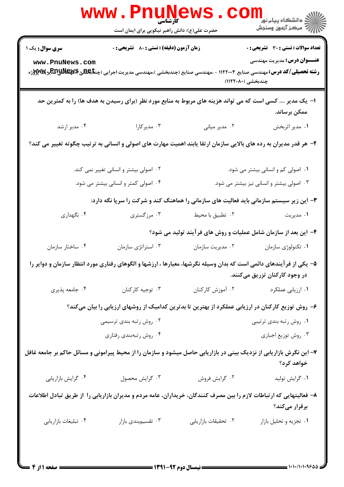|                                                                                                                     | حضرت علی(ع): دانش راهبر نیکویی برای ایمان است                                                                                                                                                |                                                                 |                                                                                    |
|---------------------------------------------------------------------------------------------------------------------|----------------------------------------------------------------------------------------------------------------------------------------------------------------------------------------------|-----------------------------------------------------------------|------------------------------------------------------------------------------------|
| <b>سری سوال :</b> یک ۱<br>www.PnuNews.com                                                                           | زمان آزمون (دقیقه) : تستی : 80 ٪ تشریحی : 0<br><b>رشته تحصیلی/کد درس:</b> مهندسی صنایع ۱۱۲۲۰۰۳ - ،مهندسی صنایع (چندبخشی )،مهندسی مدیریت اجرایی (چن <b>تاپگلنج REWEپرREW</b> پر <b>R</b> توژه |                                                                 | <b>تعداد سوالات : تستی : 30 ٪ تشریحی : 0</b><br><b>عنـــوان درس:</b> مدیریت مهندسی |
|                                                                                                                     |                                                                                                                                                                                              | چندبخشی )۸۰۱'۱۱۲۲)                                              |                                                                                    |
|                                                                                                                     | ا– یک مدیر …. کسی است که می تواند هزینه های مربوط به منابع مورد نظر (برای رسیدن به هدف ها) را به کمترین حد                                                                                   |                                                                 | ممكن برساند.                                                                       |
| ۰۴ مدیر ارشد                                                                                                        | ۰۳ مدیرکارا                                                                                                                                                                                  | ۰۲ مدیر میانی                                                   | ۰۱ مدیر اثربخش                                                                     |
|                                                                                                                     | ۲- هر قدر مدیران به رده های بالایی سازمان ارتقا یابند اهمیت مهارت های اصولی و انسانی به ترتیب چگوته تغییر می کند؟                                                                            |                                                                 |                                                                                    |
|                                                                                                                     | ۰۲ اصولی بیشتر و انسانی تغییر نمی کند.                                                                                                                                                       |                                                                 | ۰۱ اصولی کم و انسانی بیشتر می شود.                                                 |
|                                                                                                                     | ۰۴ اصولی کمتر و انسانی بیشتر می شود.                                                                                                                                                         |                                                                 | ۰۳ اصولی بیشتر و انسانی نیز بیشتر می شود.                                          |
|                                                                                                                     | ۳- این زیر سیستم سازمانی باید فعالیت های سازمانی را هماهنگ کند و شرکت را سرپا نگه دارد:                                                                                                      |                                                                 |                                                                                    |
| ۰۴ نگهداری                                                                                                          |                                                                                                                                                                                              | ۰۲ تطبیق با محیط مستری . ۳                                      | ۰۱ مدیریت                                                                          |
|                                                                                                                     |                                                                                                                                                                                              | ۴- این بعد از سازمان شامل عملیات و روش های فرآیند تولید می شود؟ |                                                                                    |
| ۰۴ ساختار سازمان                                                                                                    | ۰۳ استراتژی سازمان                                                                                                                                                                           | ۰۲ مدیریت سازمان                                                | ۰۱ تکنولوژی سازمان                                                                 |
|                                                                                                                     | ۵– یکی از فرآیندهای دائمی است که بدان وسیله نگرشها، معیارها ، ارزشها و الگوهای رفتاری مورد انتظار سازمان و دوایر را                                                                          |                                                                 | در وجود کارکنان تزریق میکنند.                                                      |
| ۰۴ جامعه پذیری                                                                                                      | ۰۳ توجيه كاركنان                                                                                                                                                                             | ۰۲ آموزش کارکنان                                                | ۰۱ ارزیابی عملکرد                                                                  |
|                                                                                                                     | ۶– روش توزیع کارکنان در ارزیابی عملکرد از بهترین تا بدترین کدامیک از روشهای ارزیابی را بیان میکند؟                                                                                           |                                                                 |                                                                                    |
|                                                                                                                     | ۰۲ روش رتبه بندی ترسیمی                                                                                                                                                                      |                                                                 | ۰۱ روش رتبه بندی ترتیبی                                                            |
|                                                                                                                     | ۰۴ روش رتبهبندي رفتاري                                                                                                                                                                       |                                                                 | ۰۳ روش توزيع اجباري                                                                |
| ۷- این نگرش بازاریابی از نزدیک بینی در بازاریابی حاصل میشود و سازمان را از محیط پیرامونی و مسائل حاکم بر جامعه غافل |                                                                                                                                                                                              |                                                                 | خواهد کرد؟                                                                         |
| ۰۴ گرايش بازاريابي                                                                                                  | ۰۳ گرايش محصول                                                                                                                                                                               | ۰۲ گرايش فروش                                                   | ٠١ گرايش توليد                                                                     |
|                                                                                                                     | ۸– فعالیتهایی که ارتباطات لازم را بین مصرف کنندگان، خریداران، عامه مردم و مدیران بازاریابی را از طریق تبادل اطلاعات                                                                          |                                                                 | برقرار میکند؟                                                                      |
| ۰۴ تبلیغات بازاریابی                                                                                                | ۰۳ تقسیمبندی بازار                                                                                                                                                                           | ٠٢ تحقيقات بازاريابي                                            | ۰۱ تجزیه و تحلیل بازار                                                             |
|                                                                                                                     |                                                                                                                                                                                              | $\frac{1}{2}$ (1991-97 and 11 and 2008)                         | د ۱۰۱۰/۱۰۱۰۹۶۸۸ =                                                                  |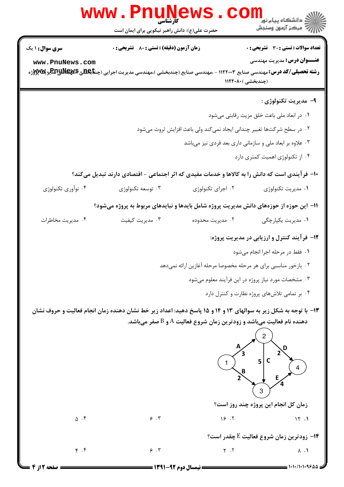|                                 | <b>www.PnuNews</b><br>حضرت علی(ع): دانش راهبر نیکویی برای ایمان است                                                                     |                                                                       |                                                     |
|---------------------------------|-----------------------------------------------------------------------------------------------------------------------------------------|-----------------------------------------------------------------------|-----------------------------------------------------|
| <b>سری سوال : ۱ یک</b>          | <b>زمان آزمون (دقیقه) : تستی : 80 ٪ تشریحی : 0</b>                                                                                      |                                                                       | <b>تعداد سوالات : تستی : 30 ٪ تشریحی : 0</b>        |
| www.PnuNews.com                 | <b>رشته تحصیلی/کد درس:</b> مهندسی صنایع ۱۱۲۲۰۰۳ - ،مهندسی صنایع (چندبخشی )،مهندسی مدیریت اجرایی (چن <b>تاپکلیچاپویسی پیلاپویلاپو</b> ژه | (چندبخشی )۱۱۲۲۰۸۰                                                     | <b>عنـــوان درس:</b> مدیریت مهندسی                  |
|                                 |                                                                                                                                         |                                                                       | ۹- مديريت تكنولوژي :                                |
|                                 |                                                                                                                                         |                                                                       | ۰۱ در ابعاد ملی باعث خلق مزیت رقابتی میشود          |
|                                 |                                                                                                                                         | ۰۲ در سطح شرکتها تغییر چندانی ایجاد نمیکند ولی باعث افزایش ثروت میشود |                                                     |
|                                 |                                                                                                                                         | ۰۳ علاوه بر ابعاد ملی و سازمانی داری بعد فردی نیز میباشد              |                                                     |
|                                 |                                                                                                                                         |                                                                       | ۰۴ از تکنولوژی اهمیت کمتری دارد                     |
|                                 | ۱۰- فرآیندی است که دانش را به کالاها و خدمات مفیدی که اثر اجتماعی - اقتصادی دارند تبدیل میکند؟                                          |                                                                       |                                                     |
| ۰۴ نوآوری تکنولوژی              | ۰۳ توسعه تکنولوژی                                                                                                                       | ۰۲ اجرای تکنولوژی                                                     | ۰۱ مدیریت تکنولوژی                                  |
|                                 | 11– این حوزه از حوزههای دانش مدیریت پروژه شامل بایدها و نبایدهای مربوط به پروژه میشود؟                                                  |                                                                       |                                                     |
| ۰۴ مديريت مخاطرات               | ۰۳ مديريت كيفيت                                                                                                                         | ۰۲ مديريت محدوده                                                      | ۰۱ مدیریت یکپارچگی                                  |
|                                 |                                                                                                                                         |                                                                       | ۱۲- فرآیند کنترل و ارزیابی در مدیریت پروژه:         |
|                                 |                                                                                                                                         |                                                                       | ٠١ فقط در مرحله اجرا انجام مي شود                   |
|                                 |                                                                                                                                         | ۰۲ بازخور مناسبی برای هر مرحله مخصوصا مرحله آغازین ارائه نمیدهد       |                                                     |
|                                 |                                                                                                                                         |                                                                       | ۰۳ مشخصات مورد نیاز پروژه در این فرآیند معلوم میشود |
|                                 |                                                                                                                                         |                                                                       | ۰۴ بر تمامی تلاشهای پروژه نظارت و کنترل دارد        |
|                                 | ۱۳- با توجه به شکل زیر به سوالهای ۱۳ و ۱۴ و ۱۵ پاسخ دهید: اعداد زیر خط نشان دهنده زمان انجام فعالیت و حروف نشان                         | دهنده نام فعالیت میباشد و زودترین زمان شروع فعالیت A و B صفر میباشد.  |                                                     |
|                                 |                                                                                                                                         |                                                                       | زمان کل انجام این پروژه چند روز است؟                |
| $\Delta$ . $\mathbf f$          | 9.7                                                                                                                                     | 19.7                                                                  | 15.1                                                |
|                                 |                                                                                                                                         |                                                                       | ا– زودترین زمان شروع فعالیت $\mathrm{E}$ چقدر است؟  |
| $\mathfrak{r}$ . $\mathfrak{r}$ | 9.7                                                                                                                                     | $Y \cdot Y$                                                           | $\lambda$ . $\lambda$                               |
| صفحه 2 از 4                     | = نیمسال دوم 92-1391 =                                                                                                                  |                                                                       | = ۱۰۱۰/۱۰۱۰۹۶۵۵ =                                   |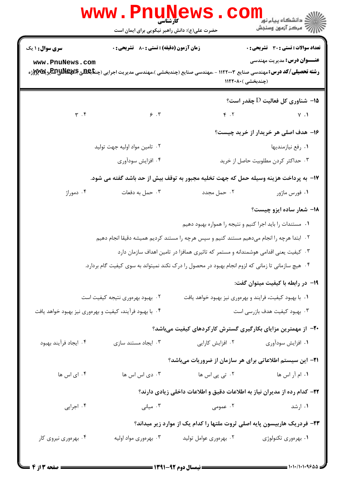|                                                          | <b>www.PnuNews</b><br>کارشناسی<br>حضرت علی(ع): دانش راهبر نیکویی برای ایمان است           |                        | الله دانشگاه پیام نور <b>)<br/>الله عرکز آزمون وسنجش</b>                                                                                                                                                                     |
|----------------------------------------------------------|-------------------------------------------------------------------------------------------|------------------------|------------------------------------------------------------------------------------------------------------------------------------------------------------------------------------------------------------------------------|
| <b>سری سوال : ۱ یک</b><br>www.PnuNews.com                | <b>زمان آزمون (دقیقه) : تستی : 80 ٪ تشریحی : 0</b>                                        |                        | <b>تعداد سوالات : تستي : 30 ٪ تشريحي : 0</b><br><b>عنـــوان درس:</b> مدیریت مهندسی<br><b>رشته تحصیلی/کد درس:</b> مهندسی صنایع ۱۱۲۲۰۰۳ - ،مهندسی صنایع (چندبخشی )،مهندسی مدیریت اجرایی (چن <b>تابگلنج RRیRیلRRپریلاپ و</b> ژه |
|                                                          |                                                                                           |                        | (چندبخشی )۱۱۲۲۰۸۰                                                                                                                                                                                                            |
|                                                          |                                                                                           |                        | ا— شناوری کل فعالیت ${\rm D}$ چقدر است؟ $^$                                                                                                                                                                                  |
| $\mathbf{r}$ . $\mathbf{r}$                              | $\epsilon$ . $\tau$                                                                       | Y.                     | $\mathsf{Y}$ . $\mathsf{Y}$                                                                                                                                                                                                  |
|                                                          |                                                                                           |                        | ۱۶- هدف اصلی هر خریدار از خرید چیست؟                                                                                                                                                                                         |
|                                                          | ۰۲ تامین مواد اولیه جهت تولید                                                             |                        | ۰۱ رفع نیازمندیها                                                                                                                                                                                                            |
|                                                          | ۰۴ افزایش سودآوری                                                                         |                        | ۰۳ حداکثر کردن مطلوبیت حاصل از خرید                                                                                                                                                                                          |
|                                                          |                                                                                           |                        | ۱۷– به پرداخت هزینه وسیله حمل که جهت تخلیه مجبور به توقف بیش از حد باشد گفته می شود.                                                                                                                                         |
| ۰۴ دموراژ                                                | ۰۳ حمل به دفعات                                                                           | ۰۲ حمل مجدد            | ۰۱ فورس ماژور                                                                                                                                                                                                                |
|                                                          |                                                                                           |                        | 18- شعار ساده ایزو چیست؟                                                                                                                                                                                                     |
|                                                          |                                                                                           |                        | ۰۱ مستندات را باید اجرا کنیم و نتیجه را همواره بهبود دهیم                                                                                                                                                                    |
|                                                          | ۰۲ ابتدا هرچه را انجام میدهیم مستند کنیم و سپس هرچه را مستند کردیم همیشه دقیقا انجام دهیم |                        |                                                                                                                                                                                                                              |
|                                                          |                                                                                           |                        | ۰۳ کیفیت یعنی اقدامی هوشمندانه و مستمر که تاثیری همافزا در تامین اهداف سازمان دارد                                                                                                                                           |
|                                                          |                                                                                           |                        | ۰۴ هیچ سازمانی تا زمانی که لزوم انجام بهبود در محصول را درک نکند نمیتواند به سوی کیفیت گام بردارد.                                                                                                                           |
|                                                          |                                                                                           |                        | 1۹- در رابطه با کیفیت میتوان گفت:                                                                                                                                                                                            |
|                                                          | ۰۲ بهبود بهرهوری نتیجه کیفیت است                                                          |                        | ۰۱ با بهبود کیفیت، فرایند و بهرهوری نیز بهبود خواهد یافت                                                                                                                                                                     |
| ۰۴ با بهبود فرآیند، کیفیت و بهرهوری نیز بهبود خواهد یافت |                                                                                           |                        | ۰۳ بهبود کیفیت هدف بازرسی است                                                                                                                                                                                                |
|                                                          |                                                                                           |                        | +۲- از مهمترین مزایای بکارگیری گسترش کارکردهای کیفیت میباشد؟                                                                                                                                                                 |
| ۰۴ ايجاد فرآيند بهبود                                    | ۰۳ ایجاد مستند سازی                                                                       | ۰۲ افزایش کارایی       | ۰۱ افزایش سودآوری                                                                                                                                                                                                            |
|                                                          |                                                                                           |                        | <b>۲۱</b> – این سیستم اطلاعاتی برای هر سازمان از ضروریات میباشد؟                                                                                                                                                             |
| ۰۴ ای اس ها                                              | دی اس اس ها $\cdot$ ۳                                                                     | ۰۲ تی پی اس ها         | ۰۱ ام آر اس ها                                                                                                                                                                                                               |
|                                                          |                                                                                           |                        | ۲۲– کدام رده از مدیران نیاز به اطلاعات دقیق و اطلاعات داخلی زیادی دارند؟                                                                                                                                                     |
| ۰۴ اجرایی                                                | ۰۳ میانی                                                                                  | ۰۲ عمومی               | ۰۱ ارشد                                                                                                                                                                                                                      |
|                                                          |                                                                                           |                        | ۲۳– فردریک هاربیسون پایه اصلی ثروت ملتها را کدام یک از موارد زیر میداند؟                                                                                                                                                     |
| ۰۴ بهرهوری نیروی کار                                     | ۰۳ بهرەورى مواد اوليه                                                                     | ۰۲ بهرهوری عوامل تولید | ۰۱. بهرەورى تكنولوژى                                                                                                                                                                                                         |
|                                                          |                                                                                           |                        |                                                                                                                                                                                                                              |